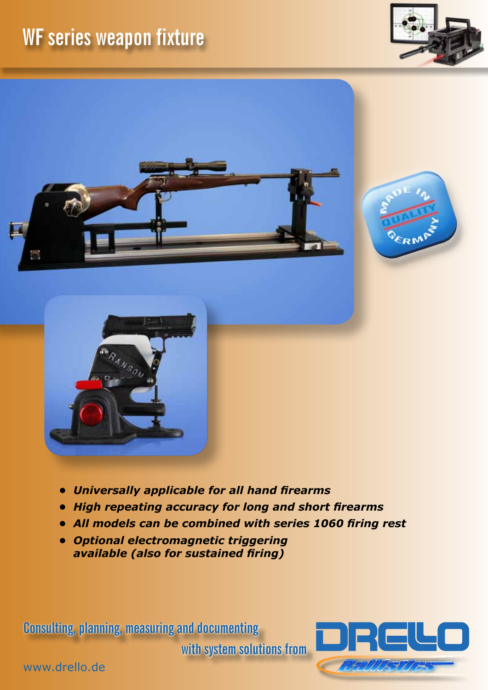## **WF series weapon fixture**









- *• Universally applicable for all hand firearms*
- *• High repeating accuracy for long and short firearms*
- *• All models can be combined with series 1060 firing rest*
- *• Optional electromagnetic triggering available (also for sustained firing)*

**Consulting, planning, measuring and documenting** 

**with system solutions from**



www.drello.de